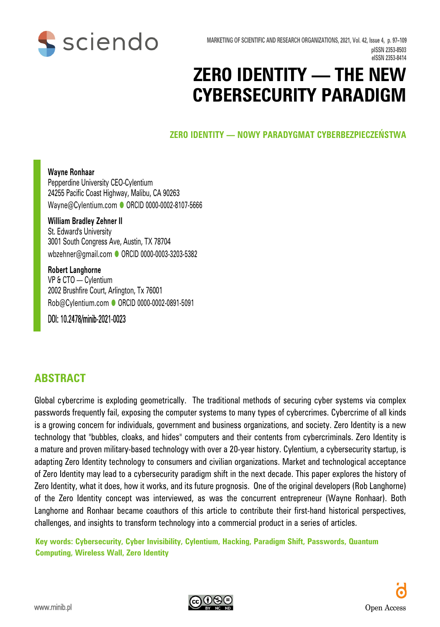

**MARKETING OF SCIENTIFIC AND RESEARCH ORGANIZATIONS, 2021, Vol. 42, Issue 4, p. 97–109 pISSN 2353-8503 eISSN 2353-8414**

# **ZERO IDENTITY — THE NEW CYBERSECURITY PARADIGM**

**ZERO IDENTITY — NOWY PARADYGMAT CYBERBEZPIECZEŃSTWA**

#### **Wayne Ronhaar** Pepperdine University CEO-Cylentium 24255 Pacific Coast Highway, Malibu, CA 90263 Wayne@Cylentium.com CRCID 0000-0002-8107-5666

#### **William Bradley Zehner II** St. Edward's University 3001 South Congress Ave, Austin, TX 78704 wbzehner@gmail.com ● [ORCID 0000-0003-3203-5382](https://orcid.org/0000-0003-3203-5382)

**Robert Langhorne** VP & CTO — Cylentium 2002 Brushfire Court, Arlington, Tx 76001 Rob@Cylentium.com C[ORCID 0000-0002-0891-5091](https://orcid.org/0000-0002-0891-5091)

DOI: 10.2478/minib-2021-0023

## **ABSTRACT**

Global cybercrime is exploding geometrically. The traditional methods of securing cyber systems via complex passwords frequently fail, exposing the computer systems to many types of cybercrimes. Cybercrime of all kinds is a growing concern for individuals, government and business organizations, and society. Zero Identity is a new technology that "bubbles, cloaks, and hides" computers and their contents from cybercriminals. Zero Identity is a mature and proven military-based technology with over a 20-year history. Cylentium, a cybersecurity startup, is adapting Zero Identity technology to consumers and civilian organizations. Market and technological acceptance of Zero Identity may lead to a cybersecurity paradigm shift in the next decade. This paper explores the history of Zero Identity, what it does, how it works, and its future prognosis. One of the original developers (Rob Langhorne) of the Zero Identity concept was interviewed, as was the concurrent entrepreneur (Wayne Ronhaar). Both Langhorne and Ronhaar became coauthors of this article to contribute their first-hand historical perspectives, challenges, and insights to transform technology into a commercial product in a series of articles.

**Key words: Cybersecurity, Cyber Invisibility, Cylentium, Hacking, Paradigm Shift, Passwords, Quantum Computing, Wireless Wall, Zero Identity**

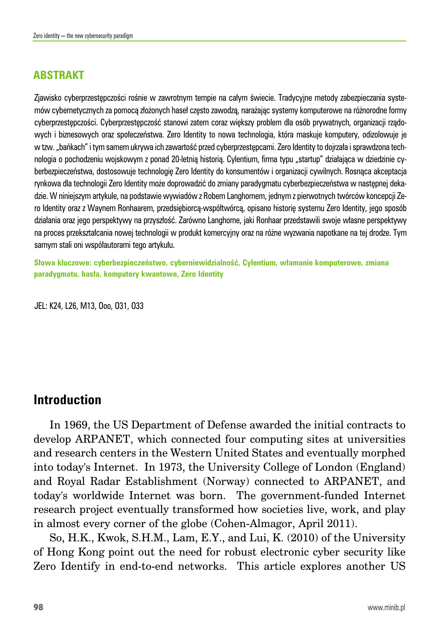## **ABSTRAKT**

Zjawisko cyberprzestępczości rośnie w zawrotnym tempie na całym świecie. Tradycyjne metody zabezpieczania systemów cybernetycznych za pomocą złożonych haseł często zawodzą, narażając systemy komputerowe na różnorodne formy cyberprzestępczości. Cyberprzestępczość stanowi zatem coraz większy problem dla osób prywatnych, organizacji rządowych i biznesowych oraz społeczeństwa. Zero Identity to nowa technologia, która maskuje komputery, odizolowuje je w tzw. "bańkach" i tym samem ukrywa ich zawartość przed cyberprzestępcami. Zero Identity to dojrzała i sprawdzona technologia o pochodzeniu wojskowym z ponad 20-letnią historią. Cylentium, firma typu "startup" działająca w dziedzinie cyberbezpieczeństwa, dostosowuje technologię Zero Identity do konsumentów i organizacji cywilnych. Rosnąca akceptacja rynkowa dla technologii Zero Identity może doprowadzić do zmiany paradygmatu cyberbezpieczeństwa w następnej dekadzie. W niniejszym artykule, na podstawie wywiadów z Robem Langhornem, jednym z pierwotnych twórców koncepcji Zero Identity oraz z Waynem Ronhaarem, przedsiębiorcą-współtwórcą, opisano historię systemu Zero Identity, jego sposób działania oraz jego perspektywy na przyszłość. Zarówno Langhorne, jaki Ronhaar przedstawili swoje własne perspektywy na proces przekształcania nowej technologii w produkt komercyjny oraz na różne wyzwania napotkane na tej drodze. Tym samym stali oni współautorami tego artykułu.

**Słowa kluczowe: cyberbezpieczeństwo, cyberniewidzialność, Cylentium, włamanie komputerowe, zmiana paradygmatu, hasła, komputery kwantowe, Zero Identity**

JEL: K24, L26, M13, Ooo, O31, O33

## **Introduction**

In 1969, the US Department of Defense awarded the initial contracts to develop ARPANET, which connected four computing sites at universities and research centers in the Western United States and eventually morphed into today's Internet. In 1973, the University College of London (England) and Royal Radar Establishment (Norway) connected to ARPANET, and today's worldwide Internet was born. The government-funded Internet research project eventually transformed how societies live, work, and play in almost every corner of the globe (Cohen-Almagor, April 2011).

So, H.K., Kwok, S.H.M., Lam, E.Y., and Lui, K. (2010) of the University of Hong Kong point out the need for robust electronic cyber security like Zero Identify in end-to-end networks. This article explores another US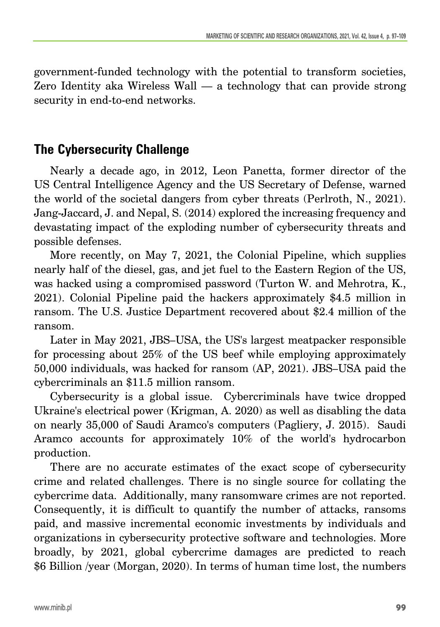government-funded technology with the potential to transform societies, Zero Identity aka Wireless Wall — a technology that can provide strong security in end-to-end networks.

## **The Cybersecurity Challenge**

Nearly a decade ago, in 2012, Leon Panetta, former director of the US Central Intelligence Agency and the US Secretary of Defense, warned the world of the societal dangers from cyber threats (Perlroth, N., 2021). Jang-Jaccard, J. and Nepal, S. (2014) explored the increasing frequency and devastating impact of the exploding number of cybersecurity threats and possible defenses.

More recently, on May 7, 2021, the Colonial Pipeline, which supplies nearly half of the diesel, gas, and jet fuel to the Eastern Region of the US, was hacked using a compromised password (Turton W. and Mehrotra, K., 2021). Colonial Pipeline paid the hackers approximately \$4.5 million in ransom. The U.S. Justice Department recovered about \$2.4 million of the ransom.

Later in May 2021, JBS–USA, the US's largest meatpacker responsible for processing about 25% of the US beef while employing approximately 50,000 individuals, was hacked for ransom (AP, 2021). JBS–USA paid the cybercriminals an \$11.5 million ransom.

Cybersecurity is a global issue. Cybercriminals have twice dropped Ukraine's electrical power (Krigman, A. 2020) as well as disabling the data on nearly 35,000 of Saudi Aramco's computers (Pagliery, J. 2015). Saudi Aramco accounts for approximately 10% of the world's hydrocarbon production.

There are no accurate estimates of the exact scope of cybersecurity crime and related challenges. There is no single source for collating the cybercrime data. Additionally, many ransomware crimes are not reported. Consequently, it is difficult to quantify the number of attacks, ransoms paid, and massive incremental economic investments by individuals and organizations in cybersecurity protective software and technologies. More broadly, by 2021, global cybercrime damages are predicted to reach \$6 Billion /year (Morgan, 2020). In terms of human time lost, the numbers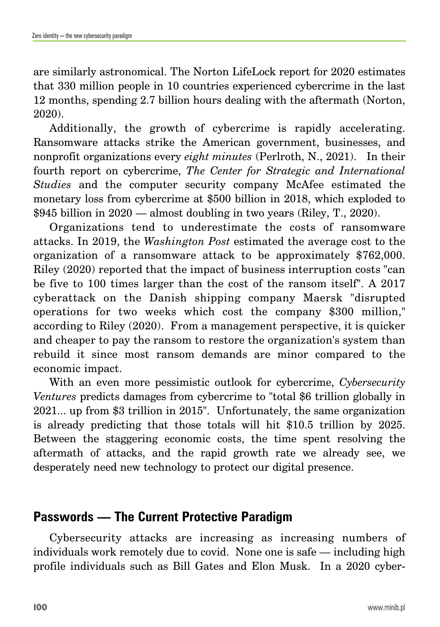are similarly astronomical. The Norton LifeLock report for 2020 estimates that 330 million people in 10 countries experienced cybercrime in the last 12 months, spending 2.7 billion hours dealing with the aftermath (Norton, 2020).

Additionally, the growth of cybercrime is rapidly accelerating. Ransomware attacks strike the American government, businesses, and nonprofit organizations every *eight minutes* (Perlroth, N., 2021). In their fourth report on cybercrime, *The Center for Strategic and International Studies* and the computer security company McAfee estimated the monetary loss from cybercrime at \$500 billion in 2018, which exploded to \$945 billion in 2020 — almost doubling in two years (Riley, T., 2020).

Organizations tend to underestimate the costs of ransomware attacks. In 2019, the *Washington Post* estimated the average cost to the organization of a ransomware attack to be approximately \$762,000. Riley (2020) reported that the impact of business interruption costs "can be five to 100 times larger than the cost of the ransom itself". A 2017 cyberattack on the Danish shipping company Maersk "disrupted operations for two weeks which cost the company \$300 million," according to Riley (2020). From a management perspective, it is quicker and cheaper to pay the ransom to restore the organization's system than rebuild it since most ransom demands are minor compared to the economic impact.

With an even more pessimistic outlook for cybercrime, *Cybersecurity Ventures* predicts damages from cybercrime to "total \$6 trillion globally in 2021... up from \$3 trillion in 2015". Unfortunately, the same organization is already predicting that those totals will hit \$10.5 trillion by 2025. Between the staggering economic costs, the time spent resolving the aftermath of attacks, and the rapid growth rate we already see, we desperately need new technology to protect our digital presence.

# **Passwords — The Current Protective Paradigm**

Cybersecurity attacks are increasing as increasing numbers of individuals work remotely due to covid. None one is safe — including high profile individuals such as Bill Gates and Elon Musk. In a 2020 cyber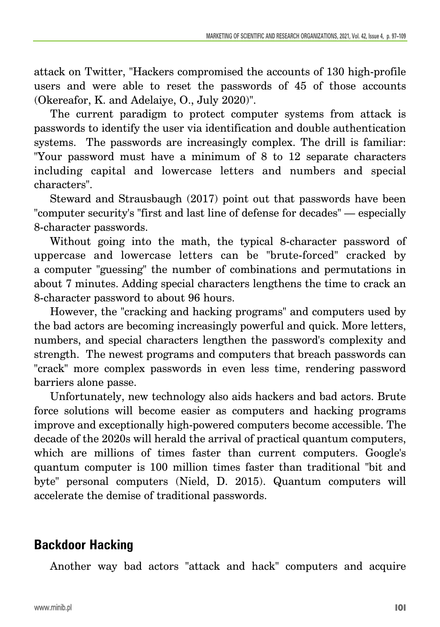attack on Twitter, "Hackers compromised the accounts of 130 high-profile users and were able to reset the passwords of 45 of those accounts (Okereafor, K. and Adelaiye, O., July 2020)".

The current paradigm to protect computer systems from attack is passwords to identify the user via identification and double authentication systems. The passwords are increasingly complex. The drill is familiar: "Your password must have a minimum of 8 to 12 separate characters including capital and lowercase letters and numbers and special characters".

Steward and Strausbaugh (2017) point out that passwords have been "computer security's "first and last line of defense for decades" — especially 8-character passwords.

Without going into the math, the typical 8-character password of uppercase and lowercase letters can be "brute-forced" cracked by a computer "guessing" the number of combinations and permutations in about 7 minutes. Adding special characters lengthens the time to crack an 8-character password to about 96 hours.

However, the "cracking and hacking programs" and computers used by the bad actors are becoming increasingly powerful and quick. More letters, numbers, and special characters lengthen the password's complexity and strength. The newest programs and computers that breach passwords can "crack" more complex passwords in even less time, rendering password barriers alone passe.

Unfortunately, new technology also aids hackers and bad actors. Brute force solutions will become easier as computers and hacking programs improve and exceptionally high-powered computers become accessible. The decade of the 2020s will herald the arrival of practical quantum computers, which are millions of times faster than current computers. Google's quantum computer is 100 million times faster than traditional "bit and byte" personal computers (Nield, D. 2015). Quantum computers will accelerate the demise of traditional passwords.

# **Backdoor Hacking**

Another way bad actors "attack and hack" computers and acquire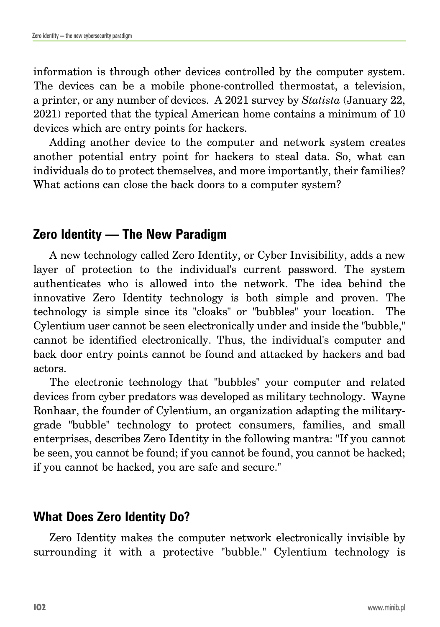information is through other devices controlled by the computer system. The devices can be a mobile phone-controlled thermostat, a television, a printer, or any number of devices. A 2021 survey by *Statista* (January 22, 2021) reported that the typical American home contains a minimum of 10 devices which are entry points for hackers.

Adding another device to the computer and network system creates another potential entry point for hackers to steal data. So, what can individuals do to protect themselves, and more importantly, their families? What actions can close the back doors to a computer system?

# **Zero Identity — The New Paradigm**

A new technology called Zero Identity, or Cyber Invisibility, adds a new layer of protection to the individual's current password. The system authenticates who is allowed into the network. The idea behind the innovative Zero Identity technology is both simple and proven. The technology is simple since its "cloaks" or "bubbles" your location. The Cylentium user cannot be seen electronically under and inside the "bubble," cannot be identified electronically. Thus, the individual's computer and back door entry points cannot be found and attacked by hackers and bad actors.

The electronic technology that "bubbles" your computer and related devices from cyber predators was developed as military technology. Wayne Ronhaar, the founder of Cylentium, an organization adapting the militarygrade "bubble" technology to protect consumers, families, and small enterprises, describes Zero Identity in the following mantra: "If you cannot be seen, you cannot be found; if you cannot be found, you cannot be hacked; if you cannot be hacked, you are safe and secure."

# **What Does Zero Identity Do?**

Zero Identity makes the computer network electronically invisible by surrounding it with a protective "bubble." Cylentium technology is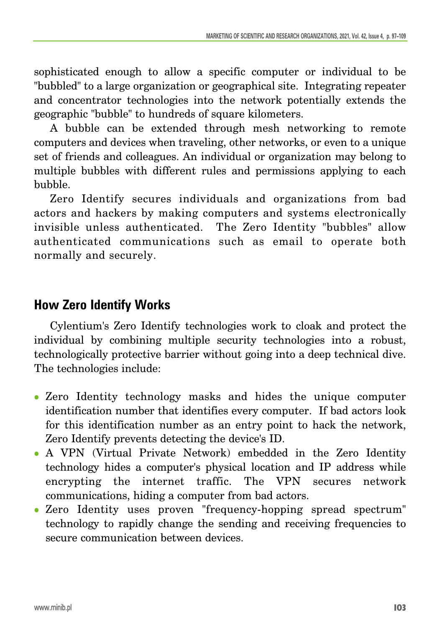sophisticated enough to allow a specific computer or individual to be "bubbled" to a large organization or geographical site. Integrating repeater and concentrator technologies into the network potentially extends the geographic "bubble" to hundreds of square kilometers.

A bubble can be extended through mesh networking to remote computers and devices when traveling, other networks, or even to a unique set of friends and colleagues. An individual or organization may belong to multiple bubbles with different rules and permissions applying to each bubble.

Zero Identify secures individuals and organizations from bad actors and hackers by making computers and systems electronically invisible unless authenticated. The Zero Identity "bubbles" allow authenticated communications such as email to operate both normally and securely.

# **How Zero Identify Works**

Cylentium's Zero Identify technologies work to cloak and protect the individual by combining multiple security technologies into a robust, technologically protective barrier without going into a deep technical dive. The technologies include:

- Zero Identity technology masks and hides the unique computer identification number that identifies every computer. If bad actors look for this identification number as an entry point to hack the network, Zero Identify prevents detecting the device's ID.
- <sup>z</sup> A VPN (Virtual Private Network) embedded in the Zero Identity technology hides a computer's physical location and IP address while encrypting the internet traffic. The VPN secures network communications, hiding a computer from bad actors.
- Zero Identity uses proven "frequency-hopping spread spectrum" technology to rapidly change the sending and receiving frequencies to secure communication between devices.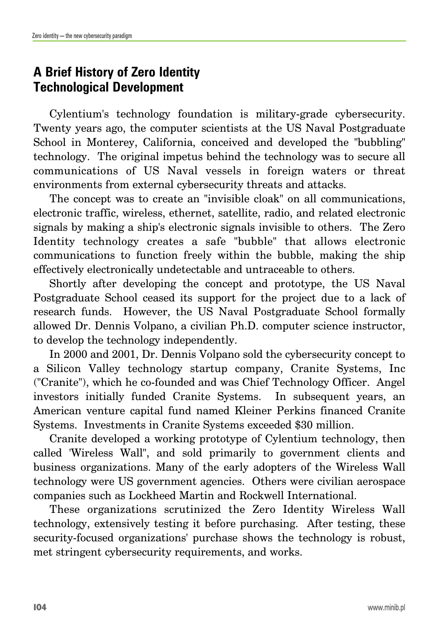# **A Brief History of Zero Identity Technological Development**

Cylentium's technology foundation is military-grade cybersecurity. Twenty years ago, the computer scientists at the US Naval Postgraduate School in Monterey, California, conceived and developed the "bubbling" technology. The original impetus behind the technology was to secure all communications of US Naval vessels in foreign waters or threat environments from external cybersecurity threats and attacks.

The concept was to create an "invisible cloak" on all communications, electronic traffic, wireless, ethernet, satellite, radio, and related electronic signals by making a ship's electronic signals invisible to others. The Zero Identity technology creates a safe "bubble" that allows electronic communications to function freely within the bubble, making the ship effectively electronically undetectable and untraceable to others.

Shortly after developing the concept and prototype, the US Naval Postgraduate School ceased its support for the project due to a lack of research funds. However, the US Naval Postgraduate School formally allowed Dr. Dennis Volpano, a civilian Ph.D. computer science instructor, to develop the technology independently.

In 2000 and 2001, Dr. Dennis Volpano sold the cybersecurity concept to a Silicon Valley technology startup company, Cranite Systems, Inc ("Cranite"), which he co-founded and was Chief Technology Officer. Angel investors initially funded Cranite Systems. In subsequent years, an American venture capital fund named Kleiner Perkins financed Cranite Systems. Investments in Cranite Systems exceeded \$30 million.

Cranite developed a working prototype of Cylentium technology, then called 'Wireless Wall", and sold primarily to government clients and business organizations. Many of the early adopters of the Wireless Wall technology were US government agencies. Others were civilian aerospace companies such as Lockheed Martin and Rockwell International.

These organizations scrutinized the Zero Identity Wireless Wall technology, extensively testing it before purchasing. After testing, these security-focused organizations' purchase shows the technology is robust, met stringent cybersecurity requirements, and works.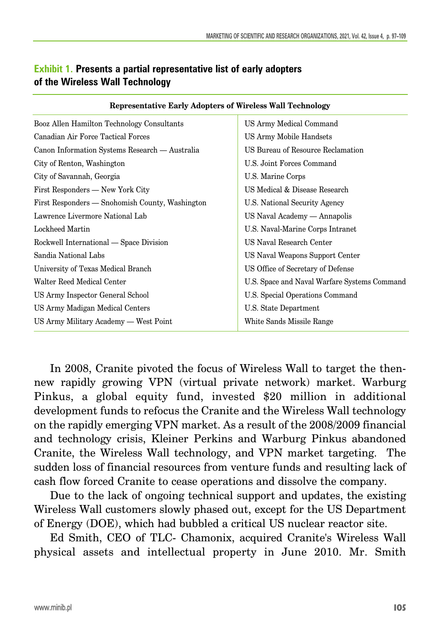| Representative Early Adopters of wireless wall rechnology |                                              |
|-----------------------------------------------------------|----------------------------------------------|
| Booz Allen Hamilton Technology Consultants                | US Army Medical Command                      |
| Canadian Air Force Tactical Forces                        | US Army Mobile Handsets                      |
| Canon Information Systems Research — Australia            | US Bureau of Resource Reclamation            |
| City of Renton, Washington                                | U.S. Joint Forces Command                    |
| City of Savannah, Georgia                                 | U.S. Marine Corps                            |
| First Responders — New York City                          | US Medical & Disease Research                |
| First Responders — Snohomish County, Washington           | U.S. National Security Agency                |
| Lawrence Livermore National Lab                           | US Naval Academy — Annapolis                 |
| Lockheed Martin                                           | U.S. Naval-Marine Corps Intranet             |
| Rockwell International — Space Division                   | US Naval Research Center                     |
| Sandia National Labs                                      | US Naval Weapons Support Center              |
| University of Texas Medical Branch                        | US Office of Secretary of Defense            |
| Walter Reed Medical Center                                | U.S. Space and Naval Warfare Systems Command |
| US Army Inspector General School                          | U.S. Special Operations Command              |
| US Army Madigan Medical Centers                           | U.S. State Department                        |
| US Army Military Academy — West Point                     | White Sands Missile Range                    |
|                                                           |                                              |

**Representative Early Adopters of Wireless Wall Technology**

#### **Exhibit 1. Presents a partial representative list of early adopters of the Wireless Wall Technology**

In 2008, Cranite pivoted the focus of Wireless Wall to target the thennew rapidly growing VPN (virtual private network) market. Warburg Pinkus, a global equity fund, invested \$20 million in additional development funds to refocus the Cranite and the Wireless Wall technology on the rapidly emerging VPN market. As a result of the 2008/2009 financial and technology crisis, Kleiner Perkins and Warburg Pinkus abandoned Cranite, the Wireless Wall technology, and VPN market targeting. The sudden loss of financial resources from venture funds and resulting lack of cash flow forced Cranite to cease operations and dissolve the company.

Due to the lack of ongoing technical support and updates, the existing Wireless Wall customers slowly phased out, except for the US Department of Energy (DOE), which had bubbled a critical US nuclear reactor site.

Ed Smith, CEO of TLC- Chamonix, acquired Cranite's Wireless Wall physical assets and intellectual property in June 2010. Mr. Smith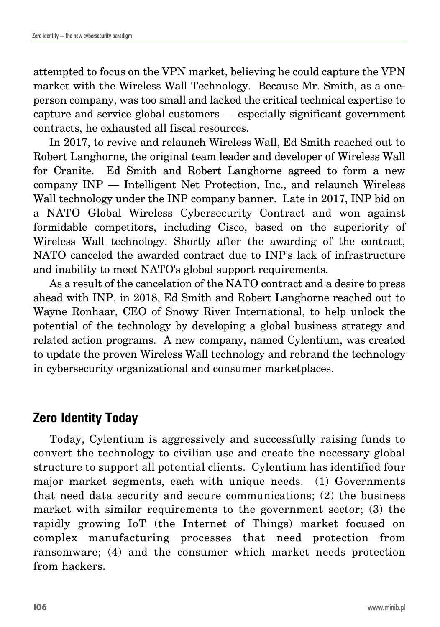attempted to focus on the VPN market, believing he could capture the VPN market with the Wireless Wall Technology. Because Mr. Smith, as a oneperson company, was too small and lacked the critical technical expertise to capture and service global customers — especially significant government contracts, he exhausted all fiscal resources.

In 2017, to revive and relaunch Wireless Wall, Ed Smith reached out to Robert Langhorne, the original team leader and developer of Wireless Wall for Cranite. Ed Smith and Robert Langhorne agreed to form a new company INP — Intelligent Net Protection, Inc., and relaunch Wireless Wall technology under the INP company banner. Late in 2017, INP bid on a NATO Global Wireless Cybersecurity Contract and won against formidable competitors, including Cisco, based on the superiority of Wireless Wall technology. Shortly after the awarding of the contract, NATO canceled the awarded contract due to INP's lack of infrastructure and inability to meet NATO's global support requirements.

As a result of the cancelation of the NATO contract and a desire to press ahead with INP, in 2018, Ed Smith and Robert Langhorne reached out to Wayne Ronhaar, CEO of Snowy River International, to help unlock the potential of the technology by developing a global business strategy and related action programs. A new company, named Cylentium, was created to update the proven Wireless Wall technology and rebrand the technology in cybersecurity organizational and consumer marketplaces.

# **Zero Identity Today**

Today, Cylentium is aggressively and successfully raising funds to convert the technology to civilian use and create the necessary global structure to support all potential clients. Cylentium has identified four major market segments, each with unique needs. (1) Governments that need data security and secure communications; (2) the business market with similar requirements to the government sector; (3) the rapidly growing IoT (the Internet of Things) market focused on complex manufacturing processes that need protection from ransomware; (4) and the consumer which market needs protection from hackers.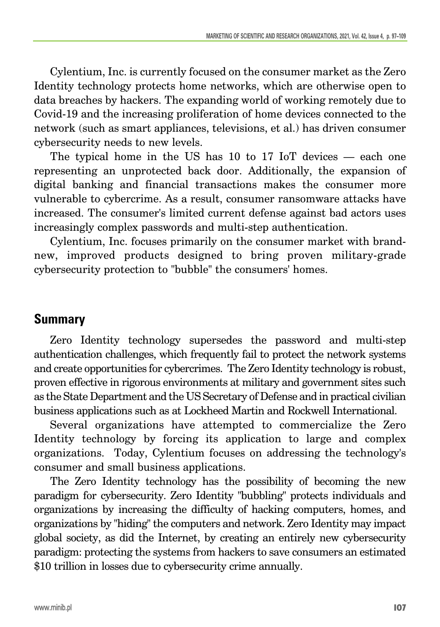Cylentium, Inc. is currently focused on the consumer market as the Zero Identity technology protects home networks, which are otherwise open to data breaches by hackers. The expanding world of working remotely due to Covid-19 and the increasing proliferation of home devices connected to the network (such as smart appliances, televisions, et al.) has driven consumer cybersecurity needs to new levels.

The typical home in the US has 10 to 17 IoT devices — each one representing an unprotected back door. Additionally, the expansion of digital banking and financial transactions makes the consumer more vulnerable to cybercrime. As a result, consumer ransomware attacks have increased. The consumer's limited current defense against bad actors uses increasingly complex passwords and multi-step authentication.

Cylentium, Inc. focuses primarily on the consumer market with brandnew, improved products designed to bring proven military-grade cybersecurity protection to "bubble" the consumers' homes.

## **Summary**

Zero Identity technology supersedes the password and multi-step authentication challenges, which frequently fail to protect the network systems and create opportunities for cybercrimes. The Zero Identity technology is robust, proven effective in rigorous environments at military and government sites such as the State Department and the US Secretary of Defense and in practical civilian business applications such as at Lockheed Martin and Rockwell International.

Several organizations have attempted to commercialize the Zero Identity technology by forcing its application to large and complex organizations. Today, Cylentium focuses on addressing the technology's consumer and small business applications.

The Zero Identity technology has the possibility of becoming the new paradigm for cybersecurity. Zero Identity "bubbling" protects individuals and organizations by increasing the difficulty of hacking computers, homes, and organizations by "hiding" the computers and network. Zero Identity may impact global society, as did the Internet, by creating an entirely new cybersecurity paradigm: protecting the systems from hackers to save consumers an estimated \$10 trillion in losses due to cybersecurity crime annually.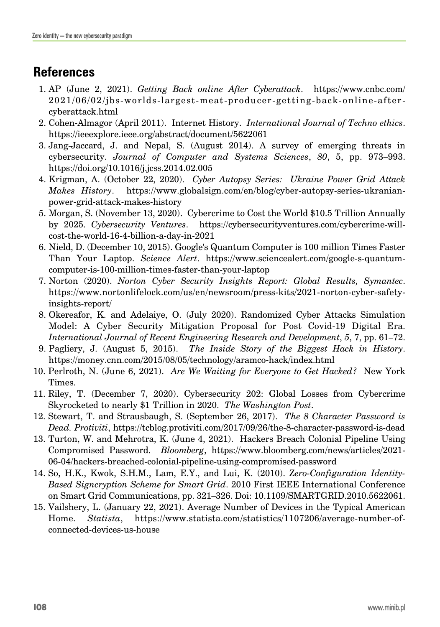# **References**

- 1. AP (June 2, 2021). *Getting Back online After Cyberattack*. https://www.cnbc.com/ 2021/06/02/jbs-worlds-largest-meat-producer-getting-back-online-aftercyberattack.html
- 2. Cohen-Almagor (April 2011). Internet History. *International Journal of Techno ethics*. https://ieeexplore.ieee.org/abstract/document/5622061
- 3. Jang-Jaccard, J. and Nepal, S. (August 2014). A survey of emerging threats in cybersecurity. *Journal of Computer and Systems Sciences*, *80*, 5, pp. 973–993. https://doi.org/10.1016/j.jcss.2014.02.005
- 4. Krigman, A. (October 22, 2020). *Cyber Autopsy Series: Ukraine Power Grid Attack Makes History*. https://www.globalsign.com/en/blog/cyber-autopsy-series-ukranianpower-grid-attack-makes-history
- 5. Morgan, S. (November 13, 2020). Cybercrime to Cost the World \$10.5 Trillion Annually by 2025. *Cybersecurity Ventures*. https://cybersecurityventures.com/cybercrime-willcost-the-world-16-4-billion-a-day-in-2021
- 6. Nield, D. (December 10, 2015). Google's Quantum Computer is 100 million Times Faster Than Your Laptop. *Science Alert*. https://www.sciencealert.com/google-s-quantumcomputer-is-100-million-times-faster-than-your-laptop
- 7. Norton (2020). *Norton Cyber Security Insights Report: Global Results, Symantec*. https://www.nortonlifelock.com/us/en/newsroom/press-kits/2021-norton-cyber-safetyinsights-report/
- 8. Okereafor, K. and Adelaiye, O. (July 2020). Randomized Cyber Attacks Simulation Model: A Cyber Security Mitigation Proposal for Post Covid-19 Digital Era. *International Journal of Recent Engineering Research and Development*, *5*, 7, pp. 61–72.
- 9. Pagliery, J. (August 5, 2015). *The Inside Story of the Biggest Hack in History*. https://money.cnn.com/2015/08/05/technology/aramco-hack/index.html
- 10. Perlroth, N. (June 6, 2021). *Are We Waiting for Everyone to Get Hacked?* New York Times.
- 11. Riley, T. (December 7, 2020). Cybersecurity 202: Global Losses from Cybercrime Skyrocketed to nearly \$1 Trillion in 2020. *The Washington Post*.
- 12. Stewart, T. and Strausbaugh, S. (September 26, 2017). *The 8 Character Password is Dead. Protiviti*, https://tcblog.protiviti.com/2017/09/26/the-8-character-password-is-dead
- 13. Turton, W. and Mehrotra, K. (June 4, 2021). Hackers Breach Colonial Pipeline Using Compromised Password. *Bloomberg*, https://www.bloomberg.com/news/articles/2021- 06-04/hackers-breached-colonial-pipeline-using-compromised-password
- 14. So, H.K., Kwok, S.H.M., Lam, E.Y., and Lui, K. (2010). Z*ero-Configuration Identity-Based Signcryption Scheme for Smart Grid*. 2010 First IEEE International Conference on Smart Grid Communications, pp. 321–326. Doi: 10.1109/SMARTGRID.2010.5622061.
- 15. Vailshery, L. (January 22, 2021). Average Number of Devices in the Typical American Home. *Statista*, https://www.statista.com/statistics/1107206/average-number-ofconnected-devices-us-house